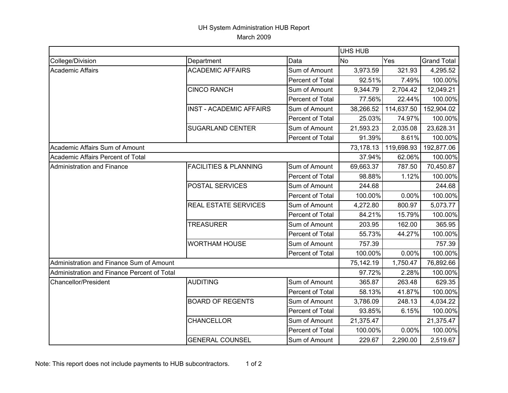## UH System Administration HUB Report March 2009

|                                             |                                  |                  | <b>UHS HUB</b> |            |                    |  |
|---------------------------------------------|----------------------------------|------------------|----------------|------------|--------------------|--|
| College/Division                            | Department                       | Data             | <b>No</b>      | Yes        | <b>Grand Total</b> |  |
| <b>Academic Affairs</b>                     | <b>ACADEMIC AFFAIRS</b>          | Sum of Amount    | 3,973.59       | 321.93     | 4,295.52           |  |
|                                             |                                  | Percent of Total | 92.51%         | 7.49%      | 100.00%            |  |
|                                             | <b>CINCO RANCH</b>               | Sum of Amount    | 9,344.79       | 2,704.42   | 12,049.21          |  |
|                                             |                                  | Percent of Total | 77.56%         | 22.44%     | 100.00%            |  |
|                                             | <b>INST - ACADEMIC AFFAIRS</b>   | Sum of Amount    | 38,266.52      | 114,637.50 | 152,904.02         |  |
|                                             |                                  | Percent of Total | 25.03%         | 74.97%     | 100.00%            |  |
|                                             | <b>SUGARLAND CENTER</b>          | Sum of Amount    | 21,593.23      | 2,035.08   | 23,628.31          |  |
|                                             |                                  | Percent of Total | 91.39%         | 8.61%      | 100.00%            |  |
| Academic Affairs Sum of Amount              |                                  |                  | 73,178.13      | 119,698.93 | 192,877.06         |  |
| Academic Affairs Percent of Total           |                                  |                  | 37.94%         | 62.06%     | 100.00%            |  |
| <b>Administration and Finance</b>           | <b>FACILITIES &amp; PLANNING</b> | Sum of Amount    | 69,663.37      | 787.50     | 70,450.87          |  |
|                                             |                                  | Percent of Total | 98.88%         | 1.12%      | 100.00%            |  |
|                                             | POSTAL SERVICES                  | Sum of Amount    | 244.68         |            | 244.68             |  |
|                                             |                                  | Percent of Total | 100.00%        | 0.00%      | 100.00%            |  |
|                                             | <b>REAL ESTATE SERVICES</b>      | Sum of Amount    | 4,272.80       | 800.97     | 5,073.77           |  |
|                                             |                                  | Percent of Total | 84.21%         | 15.79%     | 100.00%            |  |
|                                             | <b>TREASURER</b>                 | Sum of Amount    | 203.95         | 162.00     | 365.95             |  |
|                                             |                                  | Percent of Total | 55.73%         | 44.27%     | 100.00%            |  |
|                                             | <b>WORTHAM HOUSE</b>             | Sum of Amount    | 757.39         |            | 757.39             |  |
|                                             |                                  | Percent of Total | 100.00%        | 0.00%      | 100.00%            |  |
| Administration and Finance Sum of Amount    |                                  |                  | 75,142.19      | 1,750.47   | 76,892.66          |  |
| Administration and Finance Percent of Total |                                  |                  | 97.72%         | 2.28%      | 100.00%            |  |
| <b>Chancellor/President</b>                 | <b>AUDITING</b>                  | Sum of Amount    | 365.87         | 263.48     | 629.35             |  |
|                                             |                                  | Percent of Total | 58.13%         | 41.87%     | 100.00%            |  |
|                                             | <b>BOARD OF REGENTS</b>          | Sum of Amount    | 3,786.09       | 248.13     | 4,034.22           |  |
|                                             |                                  | Percent of Total | 93.85%         | 6.15%      | 100.00%            |  |
|                                             | <b>CHANCELLOR</b>                | Sum of Amount    | 21,375.47      |            | 21,375.47          |  |
|                                             |                                  | Percent of Total | 100.00%        | 0.00%      | 100.00%            |  |
|                                             | <b>GENERAL COUNSEL</b>           | Sum of Amount    | 229.67         | 2,290.00   | 2,519.67           |  |